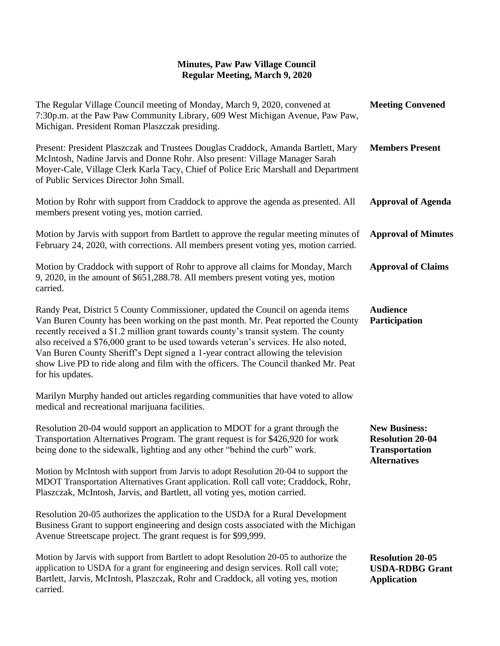| The Regular Village Council meeting of Monday, March 9, 2020, convened at<br>7:30p.m. at the Paw Paw Community Library, 609 West Michigan Avenue, Paw Paw,<br>Michigan. President Roman Plaszczak presiding.                                                                                                                                                                                                                                                                                                                                       | <b>Meeting Convened</b>                                                                         |
|----------------------------------------------------------------------------------------------------------------------------------------------------------------------------------------------------------------------------------------------------------------------------------------------------------------------------------------------------------------------------------------------------------------------------------------------------------------------------------------------------------------------------------------------------|-------------------------------------------------------------------------------------------------|
| Present: President Plaszczak and Trustees Douglas Craddock, Amanda Bartlett, Mary<br>McIntosh, Nadine Jarvis and Donne Rohr. Also present: Village Manager Sarah<br>Moyer-Cale, Village Clerk Karla Tacy, Chief of Police Eric Marshall and Department<br>of Public Services Director John Small.                                                                                                                                                                                                                                                  | <b>Members Present</b>                                                                          |
| Motion by Rohr with support from Craddock to approve the agenda as presented. All<br>members present voting yes, motion carried.                                                                                                                                                                                                                                                                                                                                                                                                                   | <b>Approval of Agenda</b>                                                                       |
| Motion by Jarvis with support from Bartlett to approve the regular meeting minutes of<br>February 24, 2020, with corrections. All members present voting yes, motion carried.                                                                                                                                                                                                                                                                                                                                                                      | <b>Approval of Minutes</b>                                                                      |
| Motion by Craddock with support of Rohr to approve all claims for Monday, March<br>9, 2020, in the amount of \$651,288.78. All members present voting yes, motion<br>carried.                                                                                                                                                                                                                                                                                                                                                                      | <b>Approval of Claims</b>                                                                       |
| Randy Peat, District 5 County Commissioner, updated the Council on agenda items<br>Van Buren County has been working on the past month. Mr. Peat reported the County<br>recently received a \$1.2 million grant towards county's transit system. The county<br>also received a \$76,000 grant to be used towards veteran's services. He also noted,<br>Van Buren County Sheriff's Dept signed a 1-year contract allowing the television<br>show Live PD to ride along and film with the officers. The Council thanked Mr. Peat<br>for his updates. | <b>Audience</b><br>Participation                                                                |
| Marilyn Murphy handed out articles regarding communities that have voted to allow<br>medical and recreational marijuana facilities.                                                                                                                                                                                                                                                                                                                                                                                                                |                                                                                                 |
| Resolution 20-04 would support an application to MDOT for a grant through the<br>Transportation Alternatives Program. The grant request is for \$426,920 for work<br>being done to the sidewalk, lighting and any other "behind the curb" work.                                                                                                                                                                                                                                                                                                    | <b>New Business:</b><br><b>Resolution 20-04</b><br><b>Transportation</b><br><b>Alternatives</b> |
| Motion by McIntosh with support from Jarvis to adopt Resolution 20-04 to support the<br>MDOT Transportation Alternatives Grant application. Roll call vote; Craddock, Rohr,<br>Plaszczak, McIntosh, Jarvis, and Bartlett, all voting yes, motion carried.                                                                                                                                                                                                                                                                                          |                                                                                                 |
| Resolution 20-05 authorizes the application to the USDA for a Rural Development<br>Business Grant to support engineering and design costs associated with the Michigan<br>Avenue Streetscape project. The grant request is for \$99,999.                                                                                                                                                                                                                                                                                                           |                                                                                                 |
| Motion by Jarvis with support from Bartlett to adopt Resolution 20-05 to authorize the<br>application to USDA for a grant for engineering and design services. Roll call vote;<br>Bartlett, Jarvis, McIntosh, Plaszczak, Rohr and Craddock, all voting yes, motion<br>carried.                                                                                                                                                                                                                                                                     | <b>Resolution 20-05</b><br><b>USDA-RDBG Grant</b><br><b>Application</b>                         |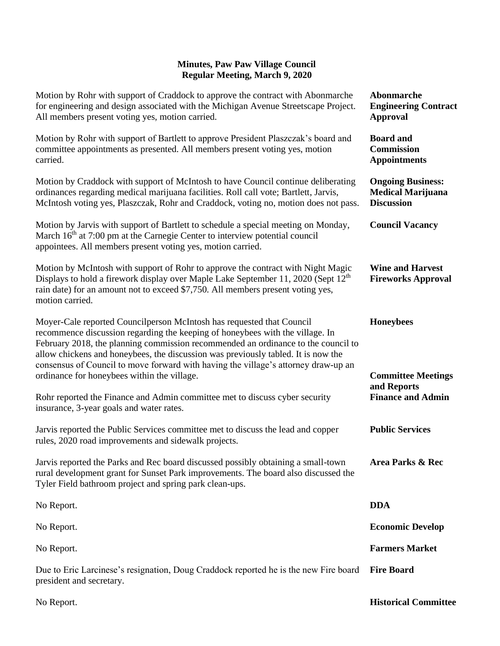| Motion by Rohr with support of Craddock to approve the contract with Abonmarche<br>for engineering and design associated with the Michigan Avenue Streetscape Project.<br>All members present voting yes, motion carried.                                                                                                                                                                                                                                             | Abonmarche<br><b>Engineering Contract</b><br><b>Approval</b>              |
|-----------------------------------------------------------------------------------------------------------------------------------------------------------------------------------------------------------------------------------------------------------------------------------------------------------------------------------------------------------------------------------------------------------------------------------------------------------------------|---------------------------------------------------------------------------|
| Motion by Rohr with support of Bartlett to approve President Plaszczak's board and<br>committee appointments as presented. All members present voting yes, motion<br>carried.                                                                                                                                                                                                                                                                                         | <b>Board</b> and<br><b>Commission</b><br><b>Appointments</b>              |
| Motion by Craddock with support of McIntosh to have Council continue deliberating<br>ordinances regarding medical marijuana facilities. Roll call vote; Bartlett, Jarvis,<br>McIntosh voting yes, Plaszczak, Rohr and Craddock, voting no, motion does not pass.                                                                                                                                                                                                      | <b>Ongoing Business:</b><br><b>Medical Marijuana</b><br><b>Discussion</b> |
| Motion by Jarvis with support of Bartlett to schedule a special meeting on Monday,<br>March 16 <sup>th</sup> at 7:00 pm at the Carnegie Center to interview potential council<br>appointees. All members present voting yes, motion carried.                                                                                                                                                                                                                          | <b>Council Vacancy</b>                                                    |
| Motion by McIntosh with support of Rohr to approve the contract with Night Magic<br>Displays to hold a firework display over Maple Lake September 11, 2020 (Sept 12 <sup>th</sup> )<br>rain date) for an amount not to exceed \$7,750. All members present voting yes,<br>motion carried.                                                                                                                                                                             | <b>Wine and Harvest</b><br><b>Fireworks Approval</b>                      |
| Moyer-Cale reported Councilperson McIntosh has requested that Council<br>recommence discussion regarding the keeping of honeybees with the village. In<br>February 2018, the planning commission recommended an ordinance to the council to<br>allow chickens and honeybees, the discussion was previously tabled. It is now the<br>consensus of Council to move forward with having the village's attorney draw-up an<br>ordinance for honeybees within the village. | <b>Honeybees</b><br><b>Committee Meetings</b>                             |
| Rohr reported the Finance and Admin committee met to discuss cyber security<br>insurance, 3-year goals and water rates.                                                                                                                                                                                                                                                                                                                                               | and Reports<br><b>Finance and Admin</b>                                   |
| Jarvis reported the Public Services committee met to discuss the lead and copper<br>rules, 2020 road improvements and sidewalk projects.                                                                                                                                                                                                                                                                                                                              | <b>Public Services</b>                                                    |
| Jarvis reported the Parks and Rec board discussed possibly obtaining a small-town<br>rural development grant for Sunset Park improvements. The board also discussed the<br>Tyler Field bathroom project and spring park clean-ups.                                                                                                                                                                                                                                    | <b>Area Parks &amp; Rec</b>                                               |
| No Report.                                                                                                                                                                                                                                                                                                                                                                                                                                                            | <b>DDA</b>                                                                |
| No Report.                                                                                                                                                                                                                                                                                                                                                                                                                                                            | <b>Economic Develop</b>                                                   |
| No Report.                                                                                                                                                                                                                                                                                                                                                                                                                                                            | <b>Farmers Market</b>                                                     |
| Due to Eric Larcinese's resignation, Doug Craddock reported he is the new Fire board<br>president and secretary.                                                                                                                                                                                                                                                                                                                                                      | <b>Fire Board</b>                                                         |

No Report.

**Historical Committee**